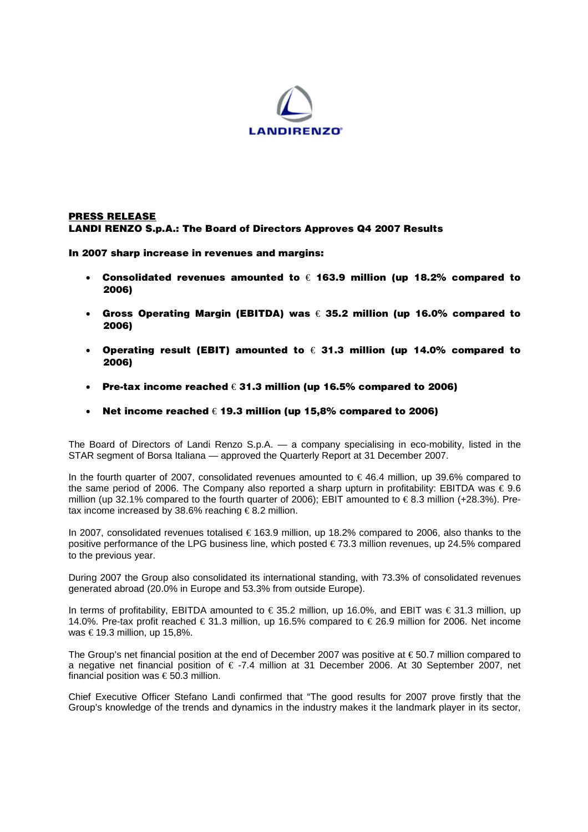

## **PRESS RELEASE LANDI RENZO S.p.A.: The Board of Directors Approves Q4 2007 Results**

**In 2007 sharp increase in revenues and margins:** 

- **Consolidated revenues amounted to** € **163.9 million (up 18.2% compared to 2006)**
- **Gross Operating Margin (EBITDA) was** € **35.2 million (up 16.0% compared to 2006)**
- **Operating result (EBIT) amounted to** € **31.3 million (up 14.0% compared to 2006)**
- **Pre-tax income reached** € **31.3 million (up 16.5% compared to 2006)**
- **Net income reached** € **19.3 million (up 15,8% compared to 2006)**

The Board of Directors of Landi Renzo S.p.A. — a company specialising in eco-mobility, listed in the STAR segment of Borsa Italiana — approved the Quarterly Report at 31 December 2007.

In the fourth quarter of 2007, consolidated revenues amounted to € 46.4 million, up 39.6% compared to the same period of 2006. The Company also reported a sharp upturn in profitability: EBITDA was  $\epsilon$  9.6 million (up 32.1% compared to the fourth quarter of 2006); EBIT amounted to  $\in$ 8.3 million (+28.3%). Pretax income increased by 38.6% reaching  $\epsilon$ 8.2 million.

In 2007, consolidated revenues totalised € 163.9 million, up 18.2% compared to 2006, also thanks to the positive performance of the LPG business line, which posted €73.3 million revenues, up 24.5% compared to the previous year.

During 2007 the Group also consolidated its international standing, with 73.3% of consolidated revenues generated abroad (20.0% in Europe and 53.3% from outside Europe).

In terms of profitability, EBITDA amounted to € 35.2 million, up 16.0%, and EBIT was € 31.3 million, up 14.0%. Pre-tax profit reached € 31.3 million, up 16.5% compared to € 26.9 million for 2006. Net income was  $€19.3$  million, up 15,8%.

The Group's net financial position at the end of December 2007 was positive at € 50.7 million compared to a negative net financial position of € -7.4 million at 31 December 2006. At 30 September 2007, net financial position was  $\epsilon$  50.3 million.

Chief Executive Officer Stefano Landi confirmed that "The good results for 2007 prove firstly that the Group's knowledge of the trends and dynamics in the industry makes it the landmark player in its sector,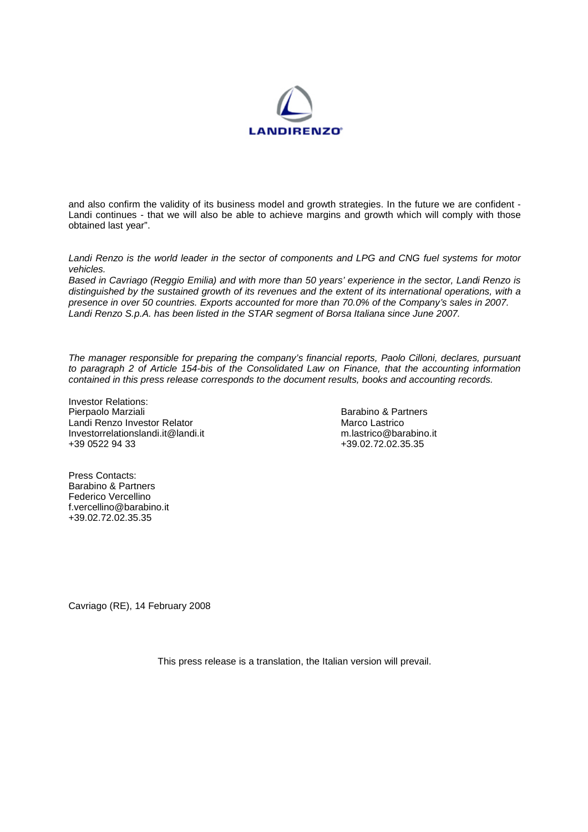

and also confirm the validity of its business model and growth strategies. In the future we are confident - Landi continues - that we will also be able to achieve margins and growth which will comply with those obtained last year".

*Landi Renzo is the world leader in the sector of components and LPG and CNG fuel systems for motor vehicles.* 

*Based in Cavriago (Reggio Emilia) and with more than 50 years' experience in the sector, Landi Renzo is distinguished by the sustained growth of its revenues and the extent of its international operations, with a presence in over 50 countries. Exports accounted for more than 70.0% of the Company's sales in 2007. Landi Renzo S.p.A. has been listed in the STAR segment of Borsa Italiana since June 2007.* 

*The manager responsible for preparing the company's financial reports, Paolo Cilloni, declares, pursuant to paragraph 2 of Article 154-bis of the Consolidated Law on Finance, that the accounting information contained in this press release corresponds to the document results, books and accounting records.*

Investor Relations:<br>Pierpaolo Marziali Landi Renzo Investor Relator<br>
Investorrelationslandi.it@landi.it m.lastrico@barabino.it Investorrelationslandi.it@landi.it +39 0522 94 33 +39.02.72.02.35.35

Barabino & Partners<br>Marco Lastrico

Press Contacts: Barabino & Partners Federico Vercellino f.vercellino@barabino.it +39.02.72.02.35.35

Cavriago (RE), 14 February 2008

This press release is a translation, the Italian version will prevail.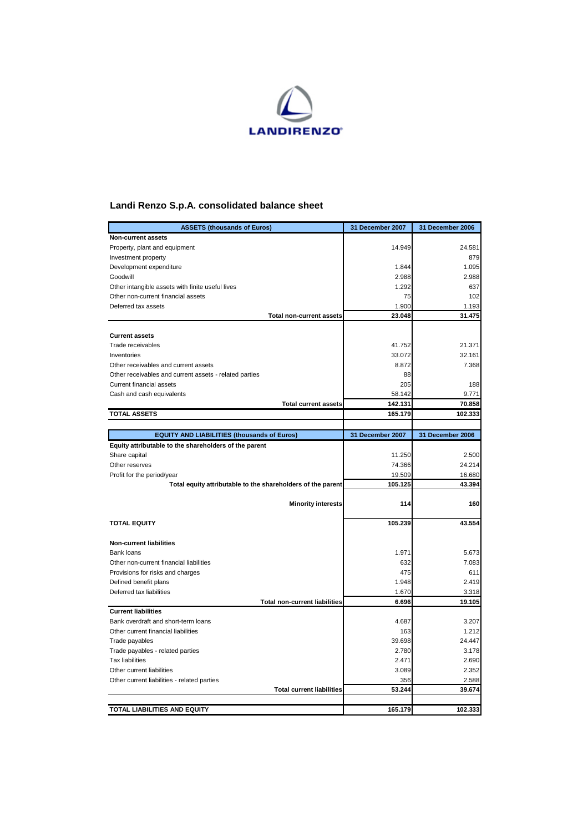

## **Landi Renzo S.p.A. consolidated balance sheet**

| <b>ASSETS (thousands of Euros)</b>                          | 31 December 2007  | 31 December 2006 |
|-------------------------------------------------------------|-------------------|------------------|
| <b>Non-current assets</b>                                   |                   |                  |
| Property, plant and equipment                               | 14.949            | 24.581           |
| Investment property                                         |                   | 879              |
| Development expenditure                                     | 1.844             | 1.095            |
| Goodwill                                                    | 2.988             | 2.988            |
| Other intangible assets with finite useful lives            | 1.292             | 637              |
| Other non-current financial assets                          | 75                | 102              |
| Deferred tax assets                                         | 1.900             | 1.193            |
| <b>Total non-current assets</b>                             | 23.048            | 31.475           |
| <b>Current assets</b>                                       |                   |                  |
|                                                             |                   |                  |
| Trade receivables<br>Inventories                            | 41.752            | 21.371           |
| Other receivables and current assets                        | 33.072<br>8.872   | 32.161<br>7.368  |
|                                                             | 88                |                  |
| Other receivables and current assets - related parties      | 205               |                  |
| Current financial assets                                    |                   | 188              |
| Cash and cash equivalents<br><b>Total current assets</b>    | 58.142<br>142.131 | 9.771<br>70.858  |
|                                                             |                   |                  |
| <b>TOTAL ASSETS</b>                                         | 165.179           | 102.333          |
| <b>EQUITY AND LIABILITIES (thousands of Euros)</b>          | 31 December 2007  | 31 December 2006 |
| Equity attributable to the shareholders of the parent       |                   |                  |
| Share capital                                               | 11.250            | 2.500            |
| Other reserves                                              | 74.366            | 24.214           |
| Profit for the period/year                                  | 19.509            | 16.680           |
| Total equity attributable to the shareholders of the parent | 105.125           | 43.394           |
|                                                             |                   |                  |
| <b>Minority interests</b>                                   | 114               | 160              |
| <b>TOTAL EQUITY</b>                                         | 105.239           | 43.554           |
|                                                             |                   |                  |
| <b>Non-current liabilities</b>                              |                   |                  |
| Bank loans                                                  | 1.971             | 5.673            |
| Other non-current financial liabilities                     | 632               | 7.083            |
| Provisions for risks and charges                            | 475               | 611              |
| Defined benefit plans                                       | 1.948             | 2.419            |
| Deferred tax liabilities                                    | 1.670             | 3.318            |
| <b>Total non-current liabilities</b>                        | 6.696             | 19.105           |
| <b>Current liabilities</b>                                  |                   |                  |
| Bank overdraft and short-term loans                         | 4.687             | 3.207            |
| Other current financial liabilities                         | 163               | 1.212            |
| Trade payables                                              | 39.698            | 24.447           |
| Trade payables - related parties                            | 2.780             | 3.178            |
| <b>Tax liabilities</b>                                      | 2.471             | 2.690            |
| Other current liabilities                                   | 3.089             | 2.352            |
| Other current liabilities - related parties                 | 356               | 2.588            |
| <b>Total current liabilities</b>                            | 53.244            | 39.674           |
|                                                             |                   |                  |
| TOTAL LIABILITIES AND EQUITY                                | 165.179           | 102.333          |